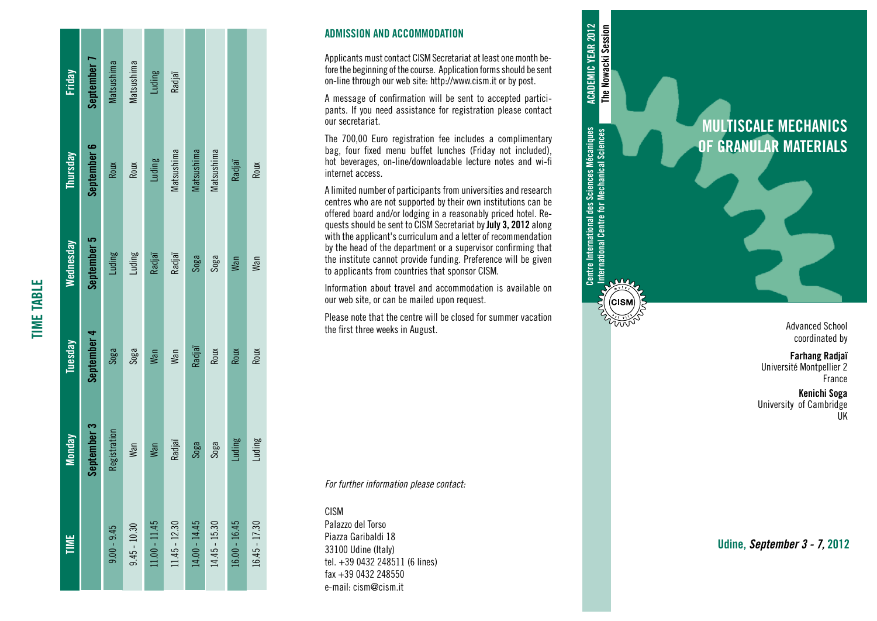| <b>FINE</b>     | Monday       | Tuesday     | Wednesday   | Thursday    | <b>Friday</b>     |
|-----------------|--------------|-------------|-------------|-------------|-------------------|
|                 | September 3  | September 4 | September 5 | September 6 | September 7       |
| $9.00 - 9.45$   | Registration | Soga        | Luding      | Roux        | <b>Matsushima</b> |
| $9.45 - 10.30$  | Man          | Soga        | Luding      | Roux        | Matsushima        |
| $.1.00 - 11.45$ | Man          | Man         | Radjaï      | Luding      | Luding            |
| $11.45 - 12.30$ | Radjaï       | Man         | Radjaï      | Matsushima  | Radjaï            |
| $14.00 - 14.45$ | Soga         | Radjaï      | Soga        | Matsushima  |                   |
| $14.45 - 15.30$ | Soga         | Roux        | Soga        | Matsushima  |                   |
| $16.00 - 16.45$ | Luding       | Roux        | Wan         | Radjaï      |                   |
| $16.45 - 17.30$ | Luding       | Roux        | Wan         | Roux        |                   |

TIME TABLE

**TIME TABLE** 

## ADMISSION AND ACCOMMODATION

Applicants must contact CISM Secretariat at least one month be fore the beginning of the course. Application forms should be sent on-line through our web site: http://www.cism.it or by post.

A message of confirmation will be sent to accepted partici pants. If you need assistance for registration please contact our secretariat.

The 700,00 Euro registration fee includes a complimentary bag, four fixed menu buffet lunches (Friday not included), hot beverages, on-line/downloadable lecture notes and wi-fi internet access.

A limited number of participants from universities and research centres who are not supported by their own institutions can be offered board and/or lodging in a reasonably priced hotel. Re quests should be sent to CISM Secretariat by July 3, 2012 along with the applicant's curriculum and a letter of recommendation by the head of the department or a supervisor confirming that the institute cannot provide funding. Preference will be given to applicants from countries that sponsor CISM.

Centre International des Sciences Mécaniques International Centre for Mechanical Sciences

Centre International des Sciences Mécaniques<br>International Centre for Mechanical Sciences

 $\frac{1}{2}$ 

(CISM

ACADEMIC YEAR 2012 The Nowacki Session

**ACADEMIC YEAR 2012** The Nowacki Session

Information about travel and accommodation is available on our web site, or can be mailed upon request.

Please note that the centre will be closed for summer vacation the first three weeks in August.

*For further information please contact:*

CISM

Palazzo del Torso Piazza Garibaldi 18 33100 Udine (Italy) tel. +39 0432 248511 (6 lines) fax +39 0432 248550 e-mail: cism@cism.it

MULTISCALE MECHANICS OF GRANULAR MATERIALS

> Advanced School coordinated by

Farhang Radjaï Université Montpellier 2 France

Kenichi Soga University of Cambridge UK

Udine, *September 3 - 7,* 2012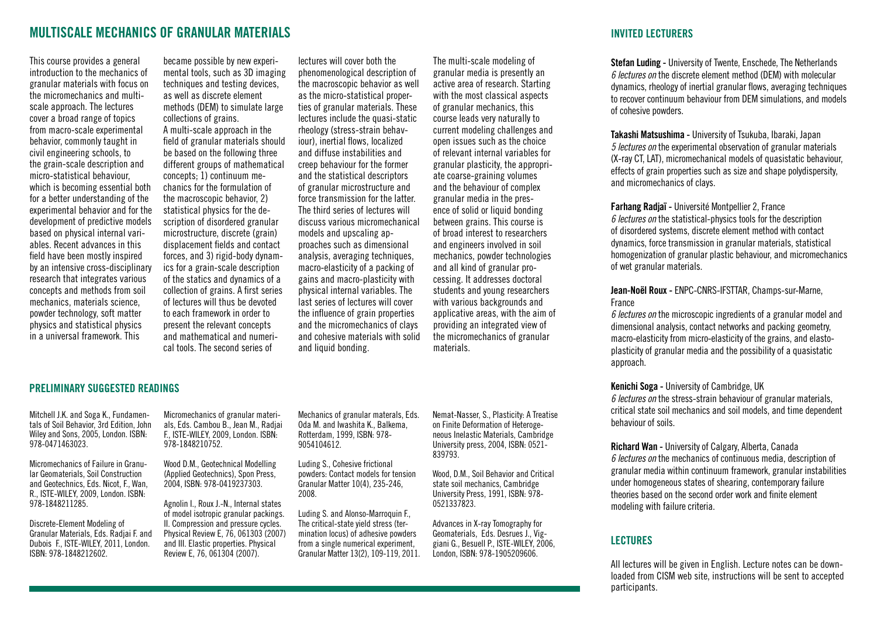# MULTISCALE MECHANICS OF GRANULAR MATERIALS

This course provides a general introduction to the mechanics of granular materials with focus on the micromechanics and multiscale approach. The lectures cover a broad range of topics from macro-scale experimental behavior, commonly taught in civil engineering schools, to the grain-scale description and micro-statistical behaviour, which is becoming essential both for a better understanding of the experimental behavior and for the development of predictive models based on physical internal variables. Recent advances in this field have been mostly inspired by an intensive cross-disciplinary research that integrates various concepts and methods from soil mechanics, materials science, powder technology, soft matter physics and statistical physics in a universal framework. This

became possible by new experimental tools, such as 3D imaging techniques and testing devices, as well as discrete element methods (DEM) to simulate large collections of grains. A multi-scale approach in the field of granular materials should be based on the following three different groups of mathematical concepts; 1) continuum mechanics for the formulation of the macroscopic behavior, 2) statistical physics for the description of disordered granular microstructure, discrete (grain) displacement fields and contact forces, and 3) rigid-body dynamics for a grain-scale description of the statics and dynamics of a collection of grains. A first series of lectures will thus be devoted to each framework in order to present the relevant concepts and mathematical and numerical tools. The second series of

lectures will cover both the phenomenological description of the macroscopic behavior as well as the micro-statistical properties of granular materials. These lectures include the quasi-static rheology (stress-strain behaviour), inertial flows, localized and diffuse instabilities and creep behaviour for the former and the statistical descriptors of granular microstructure and force transmission for the latter. The third series of lectures will discuss various micromechanical models and upscaling approaches such as dimensional analysis, averaging techniques, macro-elasticity of a packing of gains and macro-plasticity with physical internal variables. The last series of lectures will cover the influence of grain properties and the micromechanics of clays and cohesive materials with solid and liquid bonding.

The multi-scale modeling of granular media is presently an active area of research. Starting with the most classical aspects of granular mechanics, this course leads very naturally to current modeling challenges and open issues such as the choice of relevant internal variables for granular plasticity, the appropriate coarse-graining volumes and the behaviour of complex granular media in the presence of solid or liquid bonding between grains. This course is of broad interest to researchers and engineers involved in soil mechanics, powder technologies and all kind of granular processing. It addresses doctoral students and young researchers with various backgrounds and applicative areas, with the aim of providing an integrated view of the micromechanics of granular materials.

## PRELIMINARY SUGGESTED READINGS

Mitchell J.K. and Soga K., Fundamentals of Soil Behavior, 3rd Edition, John Wiley and Sons, 2005, London. ISBN: 978-0471463023.

Micromechanics of Failure in Granular Geomaterials, Soil Construction and Geotechnics, Eds. Nicot, F., Wan, R., ISTE-WILEY, 2009, London. ISBN: 978-1848211285.

Discrete-Element Modeling of Granular Materials, Eds. Radjai F. and Dubois F., ISTE-WILEY, 2011, London. ISBN: 978-1848212602.

Micromechanics of granular materials, Eds. Cambou B., Jean M., Radjai F., ISTE-WILEY, 2009, London. ISBN: 978-1848210752.

Wood D.M., Geotechnical Modelling (Applied Geotechnics), Spon Press, 2004, ISBN: 978-0419237303.

Agnolin I., Roux J.-N., Internal states of model isotropic granular packings. II. Compression and pressure cycles. Physical Review E, 76, 061303 (2007) and III. Elastic properties. Physical Review E, 76, 061304 (2007).

Mechanics of granular materals, Eds. Oda M. and Iwashita K., Balkema, Rotterdam, 1999, ISBN: 978- 9054104612.

Luding S., Cohesive frictional powders: Contact models for tension Granular Matter 10(4), 235-246, 2008.

Luding S. and Alonso-Marroquin F., The critical-state vield stress (termination locus) of adhesive powders from a single numerical experiment, Granular Matter 13(2), 109-119, 2011. Nemat-Nasser, S., Plasticity: A Treatise on Finite Deformation of Heterogeneous Inelastic Materials, Cambridge University press, 2004, ISBN: 0521- 839793.

Wood, D.M., Soil Behavior and Critical state soil mechanics, Cambridge University Press, 1991, ISBN: 978- 0521337823.

Advances in X-ray Tomography for Geomaterials, Eds. Desrues J., Viggiani G., Besuell P., ISTE-WILEY, 2006, London, ISBN: 978-1905209606.

## INVITED LECTURERS

Stefan Luding - University of Twente, Enschede, The Netherlands *6 lectures on* the discrete element method (DEM) with molecular dynamics, rheology of inertial granular flows, averaging techniques to recover continuum behaviour from DEM simulations, and models of cohesive powders.

Takashi Matsushima - University of Tsukuba, Ibaraki, Japan *5 lectures on* the experimental observation of granular materials (X-ray CT, LAT), micromechanical models of quasistatic behaviour, effects of grain properties such as size and shape polydispersity, and micromechanics of clays.

Farhang Radjaï - Université Montpellier 2, France *6 lectures on* the statistical-physics tools for the description of disordered systems, discrete element method with contact dynamics, force transmission in granular materials, statistical homogenization of granular plastic behaviour, and micromechanics of wet granular materials.

Jean-Noël Roux - ENPC-CNRS-IFSTTAR, Champs-sur-Marne, France

*6 lectures on* the microscopic ingredients of a granular model and dimensional analysis, contact networks and packing geometry, macro-elasticity from micro-elasticity of the grains, and elastoplasticity of granular media and the possibility of a quasistatic approach.

Kenichi Soga - University of Cambridge, UK

*6 lectures on* the stress-strain behaviour of granular materials, critical state soil mechanics and soil models, and time dependent behaviour of soils.

Richard Wan - University of Calgary, Alberta, Canada *6 lectures on* the mechanics of continuous media, description of granular media within continuum framework, granular instabilities under homogeneous states of shearing, contemporary failure theories based on the second order work and finite element modeling with failure criteria.

## LECTURES

All lectures will be given in English. Lecture notes can be downloaded from CISM web site, instructions will be sent to accepted participants.